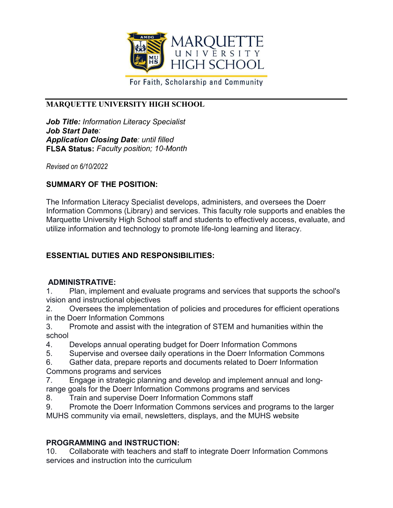

For Faith, Scholarship and Community

## **MARQUETTE UNIVERSITY HIGH SCHOOL**

*Job Title: Information Literacy Specialist Job Start Date: Application Closing Date: until filled* **FLSA Status:** *Faculty position; 10-Month*

*Revised on 6/10/2022*

## **SUMMARY OF THE POSITION:**

The Information Literacy Specialist develops, administers, and oversees the Doerr Information Commons (Library) and services. This faculty role supports and enables the Marquette University High School staff and students to effectively access, evaluate, and utilize information and technology to promote life-long learning and literacy.

# **ESSENTIAL DUTIES AND RESPONSIBILITIES:**

## **ADMINISTRATIVE:**

1. Plan, implement and evaluate programs and services that supports the school's vision and instructional objectives

2. Oversees the implementation of policies and procedures for efficient operations in the Doerr Information Commons

3. Promote and assist with the integration of STEM and humanities within the school

- 4. Develops annual operating budget for Doerr Information Commons
- 5. Supervise and oversee daily operations in the Doerr Information Commons
- 6. Gather data, prepare reports and documents related to Doerr Information Commons programs and services
- 7. Engage in strategic planning and develop and implement annual and long-
- range goals for the Doerr Information Commons programs and services
- 8. Train and supervise Doerr Information Commons staff
- 9. Promote the Doerr Information Commons services and programs to the larger MUHS community via email, newsletters, displays, and the MUHS website

## **PROGRAMMING and INSTRUCTION:**

10. Collaborate with teachers and staff to integrate Doerr Information Commons services and instruction into the curriculum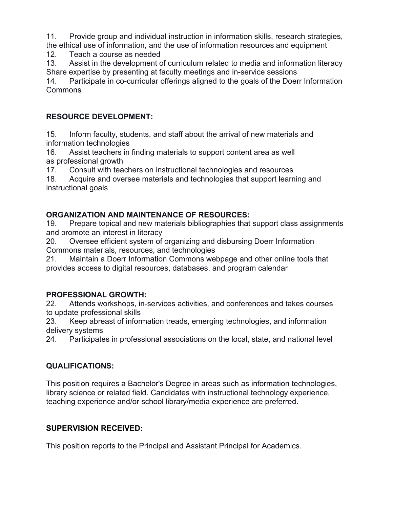11. Provide group and individual instruction in information skills, research strategies, the ethical use of information, and the use of information resources and equipment

12. Teach a course as needed

13. Assist in the development of curriculum related to media and information literacy Share expertise by presenting at faculty meetings and in-service sessions

14. Participate in co-curricular offerings aligned to the goals of the Doerr Information Commons

## **RESOURCE DEVELOPMENT:**

15. Inform faculty, students, and staff about the arrival of new materials and information technologies

16. Assist teachers in finding materials to support content area as well as professional growth

17. Consult with teachers on instructional technologies and resources

18. Acquire and oversee materials and technologies that support learning and instructional goals

## **ORGANIZATION AND MAINTENANCE OF RESOURCES:**

19. Prepare topical and new materials bibliographies that support class assignments and promote an interest in literacy

20. Oversee efficient system of organizing and disbursing Doerr Information Commons materials, resources, and technologies

21. Maintain a Doerr Information Commons webpage and other online tools that provides access to digital resources, databases, and program calendar

## **PROFESSIONAL GROWTH:**

22. Attends workshops, in-services activities, and conferences and takes courses to update professional skills

23. Keep abreast of information treads, emerging technologies, and information delivery systems

24. Participates in professional associations on the local, state, and national level

# **QUALIFICATIONS:**

This position requires a Bachelor's Degree in areas such as information technologies, library science or related field. Candidates with instructional technology experience, teaching experience and/or school library/media experience are preferred.

# **SUPERVISION RECEIVED:**

This position reports to the Principal and Assistant Principal for Academics.